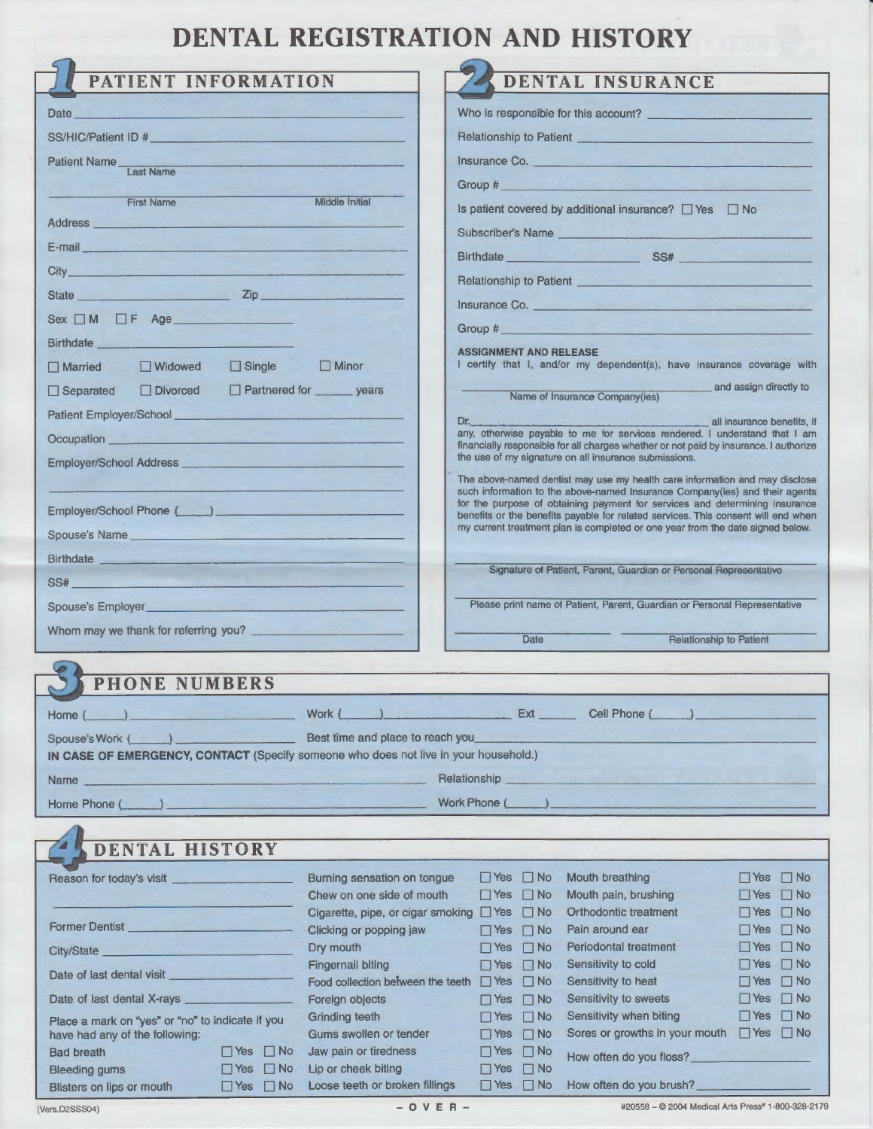## **DENTAL REGISTRATION AND HISTORY**

| PATIENT INFORMATION                                                                  |                                         |                                                                                                                                                | <b>DENTAL INSURANCE</b>                                                                                                                                          |                                                       |
|--------------------------------------------------------------------------------------|-----------------------------------------|------------------------------------------------------------------------------------------------------------------------------------------------|------------------------------------------------------------------------------------------------------------------------------------------------------------------|-------------------------------------------------------|
|                                                                                      |                                         |                                                                                                                                                |                                                                                                                                                                  |                                                       |
| Date                                                                                 |                                         |                                                                                                                                                | Who is responsible for this account?                                                                                                                             |                                                       |
| SS/HIC/Patient ID #                                                                  |                                         | Relationship to Patient                                                                                                                        |                                                                                                                                                                  |                                                       |
| Patient Name<br><b>Last Name</b>                                                     |                                         | Insurance Co.                                                                                                                                  |                                                                                                                                                                  |                                                       |
|                                                                                      |                                         | Group #                                                                                                                                        |                                                                                                                                                                  |                                                       |
| <b>First Name</b>                                                                    | <b>Middle Initial</b>                   |                                                                                                                                                | Is patient covered by additional insurance? $\Box$ Yes $\Box$ No                                                                                                 |                                                       |
| <b>Address</b>                                                                       |                                         | <b>Subscriber's Name</b>                                                                                                                       |                                                                                                                                                                  |                                                       |
| E-mail <b>E-mail</b>                                                                 |                                         |                                                                                                                                                | Birthdate SS#                                                                                                                                                    |                                                       |
| City_                                                                                |                                         |                                                                                                                                                | Relationship to Patient                                                                                                                                          |                                                       |
| State <b>Zip</b>                                                                     |                                         | Insurance Co.                                                                                                                                  |                                                                                                                                                                  |                                                       |
| $Sex \t M \t F \t Age$                                                               |                                         | Group #                                                                                                                                        |                                                                                                                                                                  |                                                       |
| Birthdate _                                                                          |                                         |                                                                                                                                                |                                                                                                                                                                  |                                                       |
| $\Box$ Single<br>$\Box$ Widowed<br>$\Box$ Married                                    | $\Box$ Minor                            | <b>ASSIGNMENT AND RELEASE</b>                                                                                                                  | I certify that I, and/or my dependent(s), have insurance coverage with                                                                                           |                                                       |
| $\Box$ Divorced<br>$\Box$ Separated                                                  | Partnered for years                     |                                                                                                                                                |                                                                                                                                                                  | and assign directly to                                |
| Patient Employer/School_                                                             |                                         |                                                                                                                                                | Name of Insurance Company(ies)                                                                                                                                   |                                                       |
| Occupation                                                                           |                                         | Dr.                                                                                                                                            | any, otherwise payable to me for services rendered. I understand that I am                                                                                       | all insurance benefits, if                            |
|                                                                                      |                                         | financially responsible for all charges whether or not paid by insurance. I authorize<br>the use of my signature on all insurance submissions. |                                                                                                                                                                  |                                                       |
| the company's state of the company's<br>Employer/School Address _                    |                                         |                                                                                                                                                | The above-named dentist may use my health care information and may disclose                                                                                      |                                                       |
|                                                                                      |                                         |                                                                                                                                                | such information to the above-named Insurance Company(ies) and their agents                                                                                      |                                                       |
| Employer/School Phone (Fig. 1)                                                       |                                         |                                                                                                                                                | for the purpose of obtaining payment for services and determining insurance<br>benefits or the benefits payable for related services. This consent will end when |                                                       |
| Spouse's Name                                                                        |                                         |                                                                                                                                                | my current treatment plan is completed or one year from the date signed below.                                                                                   |                                                       |
| <b>Birthdate</b>                                                                     |                                         |                                                                                                                                                |                                                                                                                                                                  |                                                       |
| SS#                                                                                  |                                         |                                                                                                                                                | Signature of Patient, Parent, Guardian or Personal Representative                                                                                                |                                                       |
|                                                                                      |                                         |                                                                                                                                                | Please print name of Patient, Parent, Guardian or Personal Representative                                                                                        |                                                       |
| Whom may we thank for referring you?                                                 |                                         |                                                                                                                                                |                                                                                                                                                                  |                                                       |
|                                                                                      |                                         | Date                                                                                                                                           | <b>Relationship to Patient</b>                                                                                                                                   |                                                       |
| <b>PHONE NUMBERS</b>                                                                 |                                         |                                                                                                                                                |                                                                                                                                                                  |                                                       |
|                                                                                      |                                         |                                                                                                                                                |                                                                                                                                                                  |                                                       |
| Home (                                                                               | Work {                                  | Ext _______________ Cell Phone (                                                                                                               |                                                                                                                                                                  |                                                       |
| Spouse's Work (                                                                      | Best time and place to reach you        |                                                                                                                                                |                                                                                                                                                                  |                                                       |
| IN CASE OF EMERGENCY, CONTACT (Specify someone who does not live in your household.) |                                         |                                                                                                                                                |                                                                                                                                                                  |                                                       |
| Name                                                                                 |                                         | <b>Relationship</b>                                                                                                                            |                                                                                                                                                                  |                                                       |
| Home Phone (                                                                         |                                         | Work Phone (                                                                                                                                   |                                                                                                                                                                  |                                                       |
|                                                                                      |                                         |                                                                                                                                                |                                                                                                                                                                  |                                                       |
| <b>DENTAL HISTORY</b>                                                                |                                         |                                                                                                                                                |                                                                                                                                                                  |                                                       |
| Reason for today's visit                                                             | Burning sensation on tongue             | $\Box$ Yes<br>$\Box$ No                                                                                                                        | Mouth breathing                                                                                                                                                  | $\Box$ Yes $\Box$ No                                  |
|                                                                                      | Chew on one side of mouth               | $\Box$ Yes<br>$\Box$ No                                                                                                                        | Mouth pain, brushing                                                                                                                                             | $\square$ No<br>$\Box$ Yes                            |
|                                                                                      | Cigarette, pipe, or cigar smoking □ Yes | $\Box$ No                                                                                                                                      | Orthodontic treatment                                                                                                                                            | $\Box$ Yes<br>$\Box$ No                               |
| Former Dentist                                                                       | Clicking or popping jaw                 | $\Box$ Yes<br>$\Box$ No                                                                                                                        | Pain around ear<br><b>Periodontal treatment</b>                                                                                                                  | $\Box$ Yes<br>$\Box$ No                               |
| City/State                                                                           | Dry mouth<br>Fingernail biting          | $\Box$ Yes<br>$\Box$ No<br>$\Box$ No<br>$\Box$ Yes                                                                                             | Sensitivity to cold                                                                                                                                              | $\Box$ Yes<br>$\Box$ No<br>$\Box$ Yes<br>$\square$ No |
| Date of last dental visit                                                            | Food collection between the teeth       | $\Box$ Yes<br>$\Box$ No                                                                                                                        | Sensitivity to heat                                                                                                                                              | $\square$ No<br>$\Box$ Yes                            |
| Date of last dental X-rays                                                           | Foreign objects                         | $\Box$ Yes<br>$\Box$ No                                                                                                                        | Sensitivity to sweets                                                                                                                                            | $\square$ Yes<br>$\Box$ No                            |
| Place a mark on "yes" or "no" to indicate if you                                     | <b>Grinding teeth</b>                   | $\Box$ Yes<br>$\Box$ No                                                                                                                        | Sensitivity when biting                                                                                                                                          | $\square$ Yes<br>$\Box$ No<br>$\Box$ Yes<br>$\Box$ No |
| have had any of the following:                                                       | Gums swollen or tender                  | $\Box$ Yes<br>$\Box$ No                                                                                                                        | Sores or growths in your mouth                                                                                                                                   |                                                       |

| have had any of the following: |                      |  |
|--------------------------------|----------------------|--|
| <b>Bad breath</b>              | $\Box$ Yes $\Box$ No |  |
| Bleeding gums                  | $\Box$ Yes $\Box$ No |  |

|  | $\Box$ Yes $\Box$ No Loose teeth or broken fillings |  | $\Box$ Yes $\Box$ No How often do you brush? |
|--|-----------------------------------------------------|--|----------------------------------------------|
|  | $-$ O V E R $-$                                     |  | #20558 - C 2004 M                            |

Jaw pain or tiredness Lip or cheek biting

#20558- © 2004 Medical Arts Press• 1-800-328-2179

 $\Box$  Yes  $\Box$  No How often do you floss?

DYes DNo

Blisters on lips or mouth